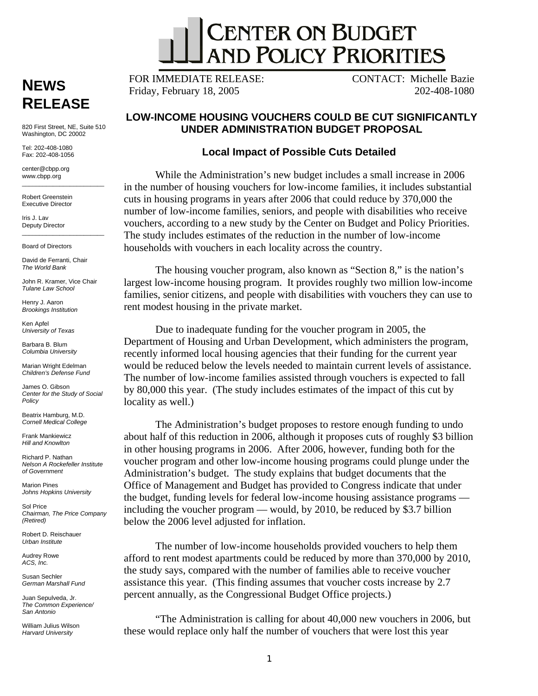

**RELEASE** 

\_\_\_\_\_\_\_\_\_ 820 First Street, NE, Suite 510 Washington, DC 20002

Tel: 202-408-1080 Fax: 202-408-1056

center@cbpp.org www.cbpp.org  $\overline{\phantom{a}}$  , and the set of the set of the set of the set of the set of the set of the set of the set of the set of the set of the set of the set of the set of the set of the set of the set of the set of the set of the s

Robert Greenstein Executive Director

Iris J. Lav Deputy Director  $\frac{1}{2}$  ,  $\frac{1}{2}$  ,  $\frac{1}{2}$  ,  $\frac{1}{2}$  ,  $\frac{1}{2}$  ,  $\frac{1}{2}$  ,  $\frac{1}{2}$  ,  $\frac{1}{2}$  ,  $\frac{1}{2}$  ,  $\frac{1}{2}$  ,  $\frac{1}{2}$  ,  $\frac{1}{2}$  ,  $\frac{1}{2}$  ,  $\frac{1}{2}$  ,  $\frac{1}{2}$  ,  $\frac{1}{2}$  ,  $\frac{1}{2}$  ,  $\frac{1}{2}$  ,  $\frac{1$ 

Board of Directors

David de Ferranti, Chair *The World Bank* 

John R. Kramer, Vice Chair *Tulane Law School* 

Henry J. Aaron *Brookings Institution* 

Ken Anfel *University of Texas* 

Barbara B. Blum *Columbia University* 

Marian Wright Edelman *Children's Defense Fund* 

James O. Gibson *Center for the Study of Social Policy* 

Beatrix Hamburg, M.D. *Cornell Medical College* 

Frank Mankiewicz *Hill and Knowlton* 

Richard P. Nathan *Nelson A Rockefeller Institute of Government* 

Marion Pines *Johns Hopkins University* 

Sol Price *Chairman, The Price Company (Retired)* 

Robert D. Reischauer *Urban Institute* 

Audrey Rowe *ACS, Inc.* 

Susan Sechler *German Marshall Fund* 

Juan Sepulveda, Jr. *The Common Experience/ San Antonio* 

William Julius Wilson *Harvard University* 

**NEWS** FOR IMMEDIATE RELEASE: CONTACT: Michelle Bazie<br>Friday, February 18, 2005 202-408-1080 Friday, February 18, 2005

## **LOW-INCOME HOUSING VOUCHERS COULD BE CUT SIGNIFICANTLY UNDER ADMINISTRATION BUDGET PROPOSAL**

## **Local Impact of Possible Cuts Detailed**

While the Administration's new budget includes a small increase in 2006 in the number of housing vouchers for low-income families, it includes substantial cuts in housing programs in years after 2006 that could reduce by 370,000 the number of low-income families, seniors, and people with disabilities who receive vouchers, according to a new study by the Center on Budget and Policy Priorities. The study includes estimates of the reduction in the number of low-income households with vouchers in each locality across the country.

The housing voucher program, also known as "Section 8," is the nation's largest low-income housing program. It provides roughly two million low-income families, senior citizens, and people with disabilities with vouchers they can use to rent modest housing in the private market.

Due to inadequate funding for the voucher program in 2005, the Department of Housing and Urban Development, which administers the program, recently informed local housing agencies that their funding for the current year would be reduced below the levels needed to maintain current levels of assistance. The number of low-income families assisted through vouchers is expected to fall by 80,000 this year. (The study includes estimates of the impact of this cut by locality as well.)

The Administration's budget proposes to restore enough funding to undo about half of this reduction in 2006, although it proposes cuts of roughly \$3 billion in other housing programs in 2006. After 2006, however, funding both for the voucher program and other low-income housing programs could plunge under the Administration's budget. The study explains that budget documents that the Office of Management and Budget has provided to Congress indicate that under the budget, funding levels for federal low-income housing assistance programs including the voucher program — would, by 2010, be reduced by \$3.7 billion below the 2006 level adjusted for inflation.

The number of low-income households provided vouchers to help them afford to rent modest apartments could be reduced by more than 370,000 by 2010, the study says, compared with the number of families able to receive voucher assistance this year. (This finding assumes that voucher costs increase by 2.7 percent annually, as the Congressional Budget Office projects.)

"The Administration is calling for about 40,000 new vouchers in 2006, but these would replace only half the number of vouchers that were lost this year